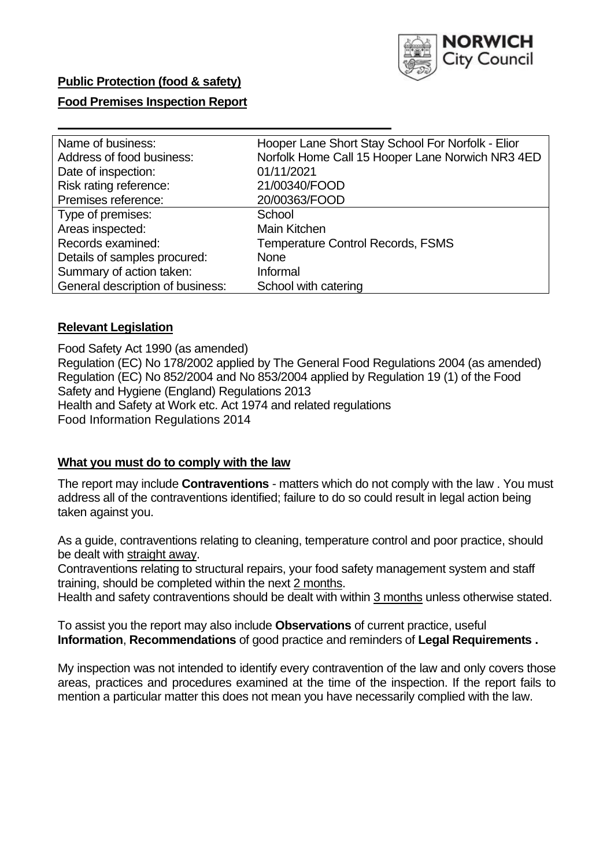

### **Public Protection (food & safety)**

### **Food Premises Inspection Report**

| Name of business:                | Hooper Lane Short Stay School For Norfolk - Elior |
|----------------------------------|---------------------------------------------------|
| Address of food business:        | Norfolk Home Call 15 Hooper Lane Norwich NR3 4ED  |
| Date of inspection:              | 01/11/2021                                        |
| Risk rating reference:           | 21/00340/FOOD                                     |
| Premises reference:              | 20/00363/FOOD                                     |
| Type of premises:                | School                                            |
| Areas inspected:                 | Main Kitchen                                      |
| Records examined:                | <b>Temperature Control Records, FSMS</b>          |
| Details of samples procured:     | <b>None</b>                                       |
| Summary of action taken:         | Informal                                          |
| General description of business: | School with catering                              |

#### **Relevant Legislation**

 Food Safety Act 1990 (as amended) Regulation (EC) No 178/2002 applied by The General Food Regulations 2004 (as amended) Regulation (EC) No 852/2004 and No 853/2004 applied by Regulation 19 (1) of the Food Safety and Hygiene (England) Regulations 2013 Health and Safety at Work etc. Act 1974 and related regulations Food Information Regulations 2014

### **What you must do to comply with the law**

 The report may include **Contraventions** - matters which do not comply with the law . You must address all of the contraventions identified; failure to do so could result in legal action being taken against you.

 As a guide, contraventions relating to cleaning, temperature control and poor practice, should be dealt with straight away.

 Contraventions relating to structural repairs, your food safety management system and staff training, should be completed within the next 2 months.

Health and safety contraventions should be dealt with within 3 months unless otherwise stated.

 To assist you the report may also include **Observations** of current practice, useful **Information**, **Recommendations** of good practice and reminders of **Legal Requirements .** 

 My inspection was not intended to identify every contravention of the law and only covers those areas, practices and procedures examined at the time of the inspection. If the report fails to mention a particular matter this does not mean you have necessarily complied with the law.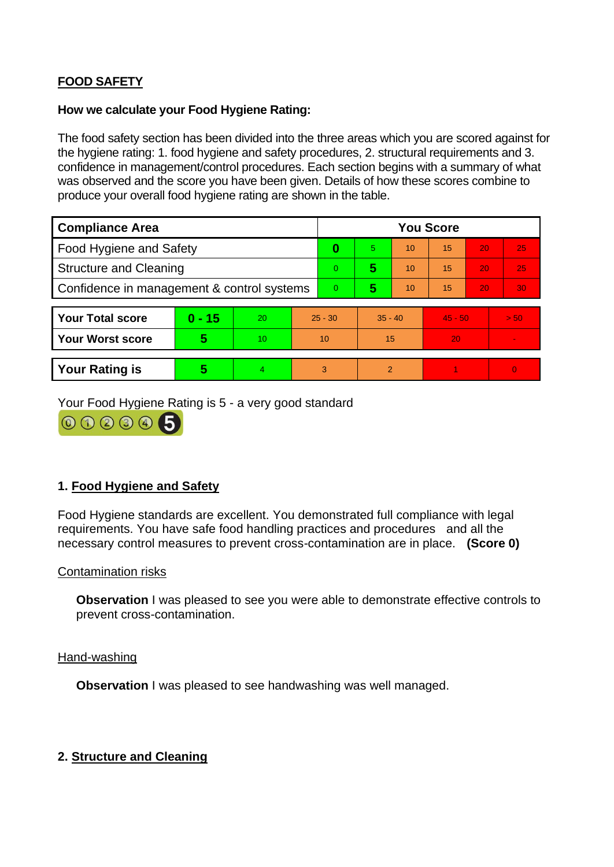# **FOOD SAFETY**

### **How we calculate your Food Hygiene Rating:**

 The food safety section has been divided into the three areas which you are scored against for the hygiene rating: 1. food hygiene and safety procedures, 2. structural requirements and 3. confidence in management/control procedures. Each section begins with a summary of what was observed and the score you have been given. Details of how these scores combine to produce your overall food hygiene rating are shown in the table.

| <b>Compliance Area</b>                     |          |    |           | <b>You Score</b> |                |    |           |    |                |  |  |
|--------------------------------------------|----------|----|-----------|------------------|----------------|----|-----------|----|----------------|--|--|
| Food Hygiene and Safety                    |          |    | 0         | 5.               | 10             | 15 | 20        | 25 |                |  |  |
| <b>Structure and Cleaning</b>              |          |    | $\Omega$  | 5                | 10             | 15 | 20        | 25 |                |  |  |
| Confidence in management & control systems |          |    | $\Omega$  | 5                | 10             | 15 | 20        | 30 |                |  |  |
|                                            |          |    |           |                  |                |    |           |    |                |  |  |
| <b>Your Total score</b>                    | $0 - 15$ | 20 | $25 - 30$ |                  | $35 - 40$      |    | $45 - 50$ |    | > 50           |  |  |
| Your Worst score                           | 5        | 10 | 10        |                  | 15             |    | 20        |    | $\blacksquare$ |  |  |
|                                            |          |    |           |                  |                |    |           |    |                |  |  |
| <b>Your Rating is</b>                      | 5        | 4  | 3         |                  | $\overline{2}$ |    |           |    | $\Omega$       |  |  |

Your Food Hygiene Rating is 5 - a very good standard



# **1. Food Hygiene and Safety**

 requirements. You have safe food handling practices and procedures and all the Food Hygiene standards are excellent. You demonstrated full compliance with legal necessary control measures to prevent cross-contamination are in place. **(Score 0)** 

#### Contamination risks

**Observation** I was pleased to see you were able to demonstrate effective controls to prevent cross-contamination.

Hand-washing

**Observation** I was pleased to see handwashing was well managed.

# **2. Structure and Cleaning**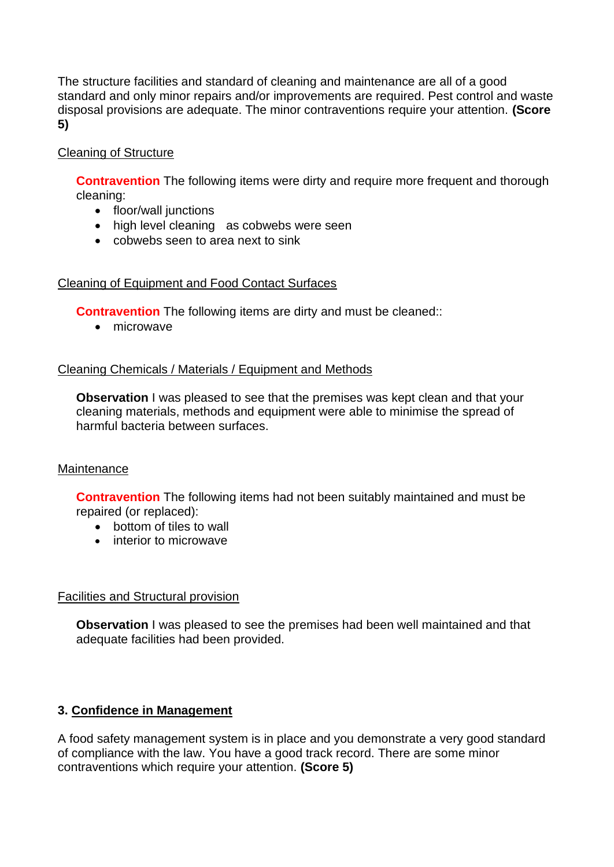The structure facilities and standard of cleaning and maintenance are all of a good standard and only minor repairs and/or improvements are required. Pest control and waste disposal provisions are adequate. The minor contraventions require your attention. **(Score 5)** 

# Cleaning of Structure

**Contravention** The following items were dirty and require more frequent and thorough cleaning:

- floor/wall junctions
- high level cleaning as cobwebs were seen
- cobwebs seen to area next to sink

# Cleaning of Equipment and Food Contact Surfaces

**Contravention** The following items are dirty and must be cleaned::

• microwave

# Cleaning Chemicals / Materials / Equipment and Methods

**Observation** I was pleased to see that the premises was kept clean and that your cleaning materials, methods and equipment were able to minimise the spread of harmful bacteria between surfaces.

# **Maintenance**

 **Contravention** The following items had not been suitably maintained and must be repaired (or replaced):

- bottom of tiles to wall
- interior to microwave

# Facilities and Structural provision

 **Observation** I was pleased to see the premises had been well maintained and that adequate facilities had been provided.

# **3. Confidence in Management**

A food safety management system is in place and you demonstrate a very good standard of compliance with the law. You have a good track record. There are some minor contraventions which require your attention. **(Score 5)**